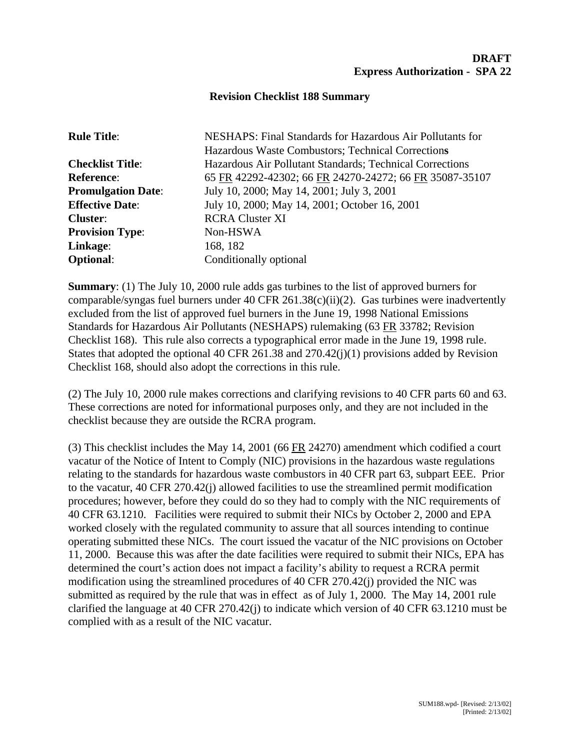## **Revision Checklist 188 Summary**

| <b>Rule Title:</b>        | NESHAPS: Final Standards for Hazardous Air Pollutants for |
|---------------------------|-----------------------------------------------------------|
|                           | Hazardous Waste Combustors; Technical Corrections         |
| <b>Checklist Title:</b>   | Hazardous Air Pollutant Standards; Technical Corrections  |
| <b>Reference:</b>         | 65 FR 42292-42302; 66 FR 24270-24272; 66 FR 35087-35107   |
| <b>Promulgation Date:</b> | July 10, 2000; May 14, 2001; July 3, 2001                 |
| <b>Effective Date:</b>    | July 10, 2000; May 14, 2001; October 16, 2001             |
| <b>Cluster:</b>           | <b>RCRA Cluster XI</b>                                    |
| <b>Provision Type:</b>    | Non-HSWA                                                  |
| Linkage:                  | 168, 182                                                  |
| <b>Optional:</b>          | Conditionally optional                                    |

**Summary**: (1) The July 10, 2000 rule adds gas turbines to the list of approved burners for comparable/syngas fuel burners under 40 CFR 261.38(c)(ii)(2). Gas turbines were inadvertently excluded from the list of approved fuel burners in the June 19, 1998 National Emissions Standards for Hazardous Air Pollutants (NESHAPS) rulemaking (63 FR 33782; Revision Checklist 168). This rule also corrects a typographical error made in the June 19, 1998 rule. States that adopted the optional 40 CFR 261.38 and 270.42(j)(1) provisions added by Revision Checklist 168, should also adopt the corrections in this rule.

(2) The July 10, 2000 rule makes corrections and clarifying revisions to 40 CFR parts 60 and 63. These corrections are noted for informational purposes only, and they are not included in the checklist because they are outside the RCRA program.

(3) This checklist includes the May 14, 2001 (66 FR 24270) amendment which codified a court vacatur of the Notice of Intent to Comply (NIC) provisions in the hazardous waste regulations relating to the standards for hazardous waste combustors in 40 CFR part 63, subpart EEE. Prior to the vacatur, 40 CFR 270.42(j) allowed facilities to use the streamlined permit modification procedures; however, before they could do so they had to comply with the NIC requirements of 40 CFR 63.1210. Facilities were required to submit their NICs by October 2, 2000 and EPA worked closely with the regulated community to assure that all sources intending to continue operating submitted these NICs. The court issued the vacatur of the NIC provisions on October 11, 2000. Because this was after the date facilities were required to submit their NICs, EPA has determined the court's action does not impact a facility's ability to request a RCRA permit modification using the streamlined procedures of 40 CFR 270.42(j) provided the NIC was submitted as required by the rule that was in effect as of July 1, 2000. The May 14, 2001 rule clarified the language at 40 CFR 270.42(j) to indicate which version of 40 CFR 63.1210 must be complied with as a result of the NIC vacatur.